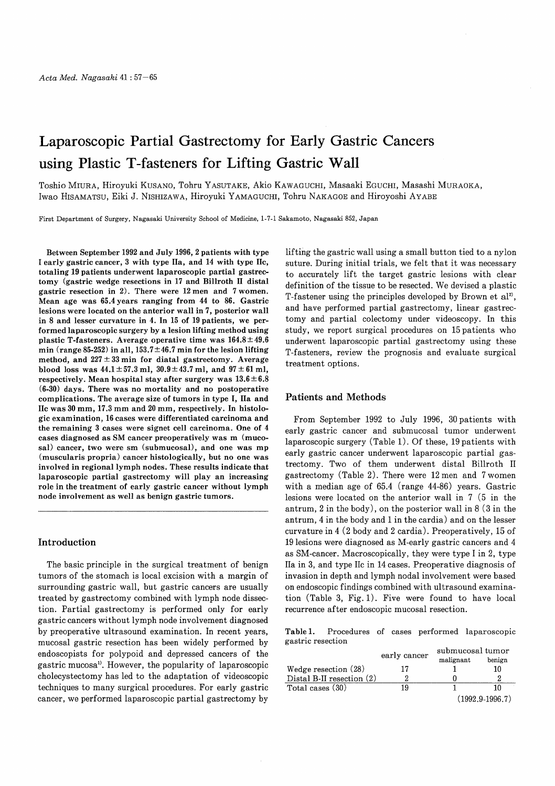# Laparoscopic Partial Gastrectomy for Early Gastric Cancers using Plastic T-fasteners for Lifting Gastric Wall

Toshio MIURA, Hiroyuki KUSANO, Tohru YASUTAKE, Akio KAWAGUCHI, Masaaki EGUCHI, Masashi MURAOKA, Iwao HISAMATSU, Eiki J. NISHIZAWA, Hiroyuki YAMAGUCHI, Tohru NAKAGOE and Hiroyoshi AYABE

First Department of Surgery, Nagasaki University School of Medicine, 1-7-1 Sakamoto, Nagasaki 852, Japan

Between September 1992 and July 1996, 2 patients with type I early gastric cancer, 3 with type IIa, and 14 with type IIc, totaling 19 patients underwent laparoscopic partial gastrectomy (gastric wedge resections in 17 and Billroth II distal gastric resection in 2). There were 12 men and 7 women. Mean age was 65.4 years ranging from 44 to 86. Gastric lesions were located on the anterior wall in 7, posterior wall in 8 and lesser curvature in 4. In 15 of 19 patients, we performed laparoscopic surgery by a lesion lifting method using plastic T-fasteners. Average operative time was  $164.8 \pm 49.6$ min (range 85-252) in all,  $153.7 \pm 46.7$  min for the lesion lifting method, and  $227 \pm 33$  min for diatal gastrectomy. Average blood loss was  $44.1 \pm 57.3$  ml,  $30.9 \pm 43.7$  ml, and  $97 \pm 61$  ml, respectively. Mean hospital stay after surgery was  $13.6 \pm 6.8$ (6-30) days. There was no mortality and no postoperative complications. The average size of tumors in type I, IIa and lie was 30 mm, 17.3 mm and 20 mm, respectively. In histologic examination, 16 cases were differentiated carcinoma and the remaining 3 cases were signet cell carcinoma. One of 4 cases diagnosed as SM cancer preoperatively was m (mucosal) cancer, two were sm (submucosal), and one was mp (muscularis propria) cancer histologically, but no one was involved in regional lymph nodes. These results indicate that laparoscopic partial gastrectomy will play an increasing role in the treatment of early gastric cancer without lymph node involvement as well as benign gastric tumors.

## Introduction

The basic principle in the surgical treatment of benign tumors of the stomach is local excision with a margin of surrounding gastric wall, but gastric cancers are usually treated by gastrectomy combined with lymph node dissection. Partial gastrectomy is performed only for early gastric cancers without lymph node involvement diagnosed by preoperative ultrasound examination. In recent years, mucosal gastric resection has been widely performed by endoscopists for polypoid and depressed cancers of the gastric mucosal). However, the popularity of laparoscopic cholecystectomy has led to the adaptation of videoscopic techniques to many surgical procedures. For early gastric cancer, we performed laparoscopic partial gastrectomy by

lifting the gastric wall using a small button tied to a nylon suture. During initial trials, we felt that it was necessary to accurately lift the target gastric lesions with clear definition of the tissue to be resected. We devised a plastic T-fastener using the principles developed by Brown et al'), and have performed partial gastrectomy, linear gastrectomy and partial colectomy under videoscopy. In this study, we report surgical procedures on 15 patients who underwent laparoscopic partial gastrectomy using these T-fasteners, review the prognosis and evaluate surgical treatment options.

## Patients and Methods

From September 1992 to July 1996, 30 patients with early gastric cancer and submucosal tumor underwent laparoscopic surgery (Table 1). Of these, 19 patients with early gastric cancer underwent laparoscopic partial gastrectomy. Two of them underwent distal Billroth II gastrectomy (Table 2). There were 12 men and 7 women with a median age of 65.4 (range 44-86) years. Gastric lesions were located on the anterior wall in 7 (5 in the antrum, 2 in the body), on the posterior wall in 8 (3 in the antrum, 4 in the body and 1 in the cardia) and on the lesser curvature in 4 (2 body and 2 cardia). Preoperatively, 15 of 19 lesions were diagnosed as M-early gastric cancers and 4 as SM-cancer. Macroscopically, they were type I in 2, type IIa in 3, and type IIc in 14 cases. Preoperative diagnosis of invasion in depth and lymph nodal involvement were based on endoscopic findings combined with ultrasound examination (Table 3, Fig. 1). Five were found to have local recurrence after endoscopic mucosal resection.

Table 1. Procedures of cases performed laparoscopic gastric resection  $\overline{1}$ 

|                             | early cancer | submucosai tumor |                   |  |  |
|-----------------------------|--------------|------------------|-------------------|--|--|
|                             |              | malignant        | benign            |  |  |
| Wedge resection $(28)$      | 17           |                  | 10                |  |  |
| Distal B-II resection $(2)$ |              |                  | ົ                 |  |  |
| Total cases (30)            | 19           |                  | 10                |  |  |
|                             |              |                  | $(1992.9-1996.7)$ |  |  |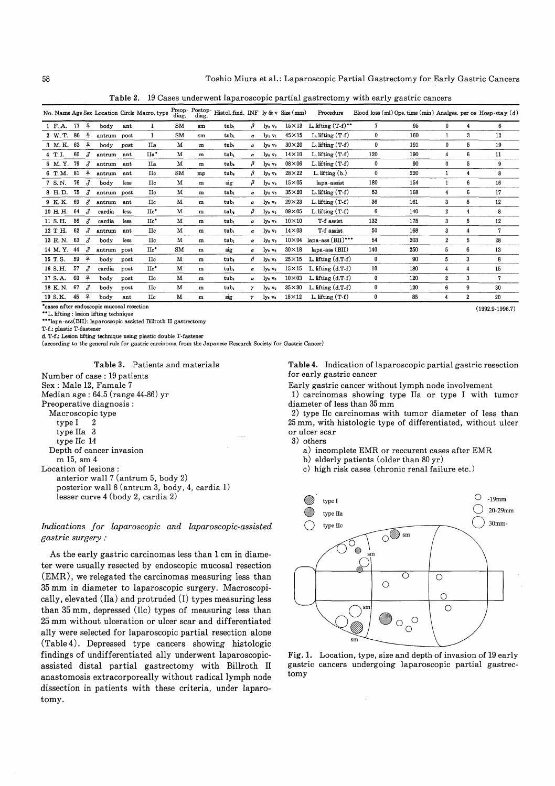Table 2. 19 Cases underwent laparoscopic partial gastrectomy with early gastric cancers

|          |    |               |             |      | No. Name Age Sex Location Circle Macro. type | diag.     | Preop-Postop-<br>diag. | Histol. find. INF $\lg \& \nu$ Size (mm) |              |                                |              | Procedure             |     | Blood loss (ml) Ope. time (min) Analges. per os Hosp-stay (d) |                  |                |                |
|----------|----|---------------|-------------|------|----------------------------------------------|-----------|------------------------|------------------------------------------|--------------|--------------------------------|--------------|-----------------------|-----|---------------------------------------------------------------|------------------|----------------|----------------|
| $1$ F.A. | 77 | ₽             | bodv        | ant  | 1                                            | SM        | $\mathbf{sm}$          | tub <sub>1</sub>                         | β            | ly <sub>0</sub> v <sub>0</sub> | $15\times13$ | L. lifting $(T-f)^**$ | 7   | 95                                                            | 0                | 4              | 6              |
| 2 W.T.   | 86 | 우             | antrum post |      | 1                                            | <b>SM</b> | $sm$                   | tub <sub>1</sub>                         | α            | $1y_1 y_1$                     | $45\times15$ | $L$ . lifting $(T-f)$ | 0   | 160                                                           |                  | 3              | 12             |
| 3 M.K.   | 63 | 우             | body        | post | Пa                                           | м         | $\mathbf{m}$           | tub.                                     | α            | lyo vo                         | $30\times20$ | L. lifting $(T-f)$    | 0   | 191                                                           | 0                | 5              | 19             |
| 4 T.I.   | 60 | $\mathcal{J}$ | antrum      | ant  | IIa <sup>*</sup>                             | м         | m                      | tub.                                     | α            | ly <sub>o</sub> v <sub>o</sub> | $14\times10$ | $L$ . lifting $(T-f)$ | 120 | 190                                                           | 4                | 6              | 11             |
| 5 M.Y.   | 79 | ♂             | antrum      | ant  | IIa                                          | M         | m                      | tub,                                     | β            | ly <sub>0</sub> v <sub>0</sub> | $08\times06$ | $L.$ lifting $(T-f)$  | 0   | 90                                                            | 0                | 5              | 9              |
| 6 T.M.   | 81 | 우             | antrum      | ant  | $_{\rm IIC}$                                 | SM        | mp                     | tub,                                     | β            | lys va                         | $28\times22$ | $L$ lifting $(b)$     | 0   | 220                                                           | 1                | 4              | 8              |
| 7 S.N.   | 76 | ♂             | body        | less | $_{\rm IIc}$                                 | M         | m                      | sig                                      | β            | ly <sub>o</sub> v <sub>o</sub> | $15\times05$ | lapa-assist           | 180 | 154                                                           |                  | 6              | 16             |
| 8 H.D.   | 75 | г             | antrum post |      | $_{\rm IIc}$                                 | м         | m                      | tub.                                     | $\alpha$     | ly <sub>o</sub> v <sub>o</sub> | $35\times20$ | L. lifting $(T-f)$    | 53  | 168                                                           | 4                | 6              | 17             |
| 9 K.K.   | 69 | $\mathcal{Z}$ | antrum      | ant  | IIc                                          | M         | ${\bf m}$              | tub <sub>1</sub>                         | α            | ly <sub>e</sub> v <sub>o</sub> | $29\times23$ | L. lifting $(T-f)$    | 36  | 161                                                           | 3                | 5              | 12             |
| 10 H.H.  | 64 | $\mathcal{Z}$ | cardia      | less | $\mathrm{IIc}^*$                             | М         | ${\bf m}$              | tub.                                     | β            | ly <sub>0</sub> v <sub>0</sub> | $09\times05$ | $L$ . lifting $(T-f)$ | 6   | 140                                                           | $\boldsymbol{2}$ | 4              | 8              |
| 11 S.H.  | 56 | $\mathcal{J}$ | cardia      | less | IIc*                                         | м         | $\mathbf{m}$           | tub,                                     | α            | ly <sub>0</sub> v <sub>0</sub> | $10\times10$ | T-f assist            | 132 | 175                                                           | 3                | 5              | 12             |
| 12 T.H.  | 62 | $\mathcal{Z}$ | antrum      | ant  | $_{\rm IIc}$                                 | М         | m                      | tub.                                     | α            | ly <sub>0</sub> v <sub>0</sub> | $14\times03$ | T-f assist            | 50  | 168                                                           | 3                | 4              | $\overline{7}$ |
| 13 R.N.  | 63 | г             | body        | less | IIc.                                         | M         | m                      | tub,                                     | $\alpha$     | ly <sub>0</sub> v <sub>0</sub> | $10\times04$ | $lapa-ass(BII)$ ***   | 54  | 203                                                           | $\overline{2}$   | 5              | 28             |
| 14 M.Y.  | 44 | $\mathcal{J}$ | antrum      | post | $\mathrm{IIc}^*$                             | SM        | ${\bf m}$              | sig                                      | α            | ly <sub>0</sub> v <sub>0</sub> | $30\times18$ | $lapa-ass(BII)$       | 140 | 250                                                           | 5                | 6              | 13             |
| 15 T.S.  | 59 | ₽             | body        | post | $\mathop{\rm He}\nolimits$                   | м         | m                      | tub.                                     | β            | ly <sub>0</sub> v <sub>0</sub> | $25\times15$ | L. lifting $(d,T-f)$  | 0   | 90                                                            | 5                | 3              | 8              |
| 16 S.H.  | 57 | $\mathcal{J}$ | cardia      | post | $\mathrm{IIc}^*$                             | м         | m                      | tub,                                     | α            | ly <sub>0</sub> v <sub>0</sub> | $15\times15$ | L. lifting $(d.T.f)$  | 10  | 180                                                           | 4                | 4              | 15             |
| 17 S.A.  | 60 | 우             | body        | post | $_{\rm He}$                                  | м         | m                      | tub.                                     | α            | $\mathbf{Iy}_0 \mathbf{v}_0$   | $10\times03$ | L. lifting $(d.T-f)$  | 0   | 120                                                           | $\boldsymbol{2}$ | 3              | $\overline{7}$ |
| 18 K.N.  | 67 | г             | body        | post | $_{\rm Hc}$                                  | M         | m                      | tub <sub>1</sub>                         | $\mathbf{y}$ | ly <sub>0</sub> v <sub>0</sub> | $35\times30$ | L. lifting $(d.T-f)$  | 0   | 120                                                           | 6                | 9              | 30             |
| 19 S.K.  | 45 | 우             | body        | ant  | <b>IIc</b>                                   | M         | m                      | sig                                      | γ            | lvo vo                         | $15\times12$ | L. lifting $(T-f)$    | 0   | 85                                                            | 4                | $\overline{2}$ | 20             |

'cases after endoscopic mucosal resection (

. lifting : lesion lifting technique

\*\*\*lapa-ass(BII): laparoscopic assisted Billroth II gastrectomy

T-f.: plastic T-fastener

d. T-f.: Lesion lifting technique using plastic double T-fastener

(according to the general rule for gastric carcinoma from the Japanese Research Society for Gastric Cancer)

Table 3.. Patients and materials

Number of case : 19 patients Sex : Male 12, Famale 7 Median age : 64.5 (range 44-86) yr Preoperative diagnosis : Macroscopic type type I 2 type IIa 3 type IIc 14 Depth of cancer invasion m 15, sm 4 Location of lesions : anterior wall 7 (antrum 5, body 2) posterior wall 8 (antrum 3, body, 4, cardia 1) lesser curve 4 (body 2, cardia 2)

Indications for laparoscopic and laparoscopic-assisted gastric surgery .-

As the early gastric carcinomas less than 1 cm in diameter were usually resected by endoscopic mucosal resection (EMR), we relegated the carcinomas measuring less than 35 mm in diameter to laparoscopic surgery. Macroscopically, elevated (IIa) and protruded (I) types measuring less than 35 mm, depressed (llc) types of measuring less than 25 mm without ulceration or ulcer scar and differentiated ally were selected for laparoscopic partial resection alone (Table 4). Depressed type cancers showing histologic findings of undifferentiated ally underwent laparoscopicassisted distal partial gastrectomy with Billroth II anastomosis extracorporeally without radical lymph node dissection in patients with these criteria, under laparotomy.

Table 4. Indication of laparoscopic partial gastric resection for early gastric cancer

Early gastric cancer without lymph node involvement

1) carcinomas showing type Ha or type I with tumor diameter of less than 35 mm

2) type IIc carcinomas with tumor diameter of less than 25 mm, with histologic type of differentiated, without ulcer or ulcer scar

3) others

a) incomplete EMR or reccurent cases after EMR

b) elderly patients (older than 80 yr)

c) high risk cases (chronic renal failure etc.)



Fig. 1. Location, type, size and depth of invasion of 19 early gastric cancers undergoing laparoscopic partial gastrectomy

 $(1992.9-1996.7)$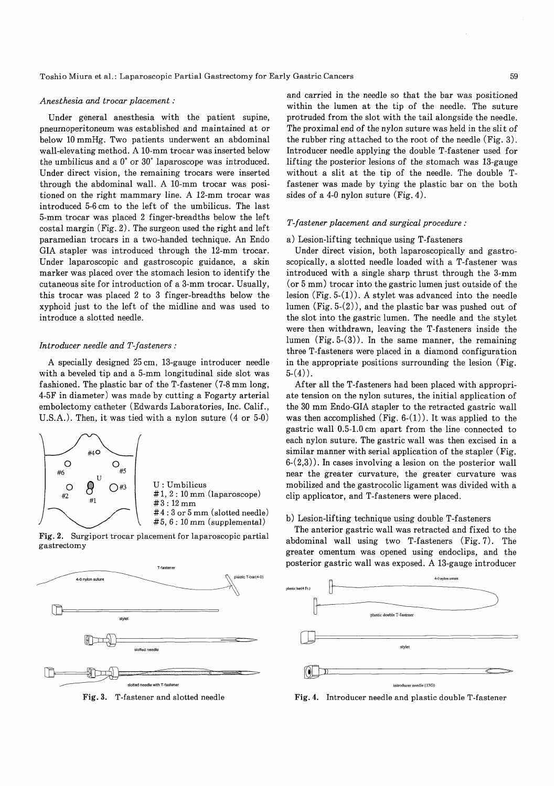#### Anesthesia and trocar placement :

Under general anesthesia with the patient supine, pneumoperitoneum was established and maintained at or below 10 mmHg. Two patients underwent an abdominal wall-elevating method. A 10-mm trocar was inserted below the umbilicus and a 0° or 30° laparoscope was introduced. Under direct vision, the remaining trocars were inserted through the abdominal wall. A 10-mm trocar was positioned on the right mammary line. A 12-mm trocar was introduced 5-6 cm to the left of the umbilicus. The last 5-mm trocar was placed 2 finger-breadths below the left costal margin (Fig. 2). The surgeon used the right and left paramedian trocars in a two-handed technique. An Endo GIA stapler was introduced through the 12-mm trocar. Under laparoscopic and gastroscopic guidance, a skin marker was placed over the stomach lesion to identify the cutaneous site for introduction of a 3-mm trocar. Usually, this trocar was placed 2 to 3 finger-breadths below the xyphoid just to the left of the midline and was used to introduce a slotted needle.

#### Introducer needle and T -fasteners :

A specially designed 25 cm, 13-gauge introducer needle with a beveled tip and a 5-mm longitudinal side slot was fashioned. The plastic bar of the T-fastener (7-8 mm long, 4-5F in diameter) was made by cutting a Fogarty arterial embolectomy catheter (Edwards Laboratories, Inc. Calif., U.S.A.). Then, it was tied with a nylon suture (4 or 5-0)



Fig. 2. Surgiport trocar placement for laparoscopic partial gastrectomy



Fig. 3. T-fastener and slotted needle

and carried in the needle so that the bar was positioned within the lumen at the tip of the needle. The suture protruded from the slot with the tail alongside the needle. The proximal end of the nylon suture was held in the slit of the rubber ring attached to the root of the needle (Fig. 3). Introducer needle applying the double T-fastener used for lifting the posterior lesions of the stomach was 13-gauge without a slit at the tip of the needle. The double Tfastener was made by tying the plastic bar on the both sides of a 4-0 nylon suture  $(Fig. 4)$ .

#### T-fastener placement and surgical procedure :

## a) Lesion-lifting technique using T-fasteners

Under direct vision, both laparoscopically and gastroscopically, a slotted needle loaded with a T-fastener was introduced with a single sharp thrust through the 3-mm (or 5 mm) trocar into the gastric lumen just outside of the lesion  $(Fig. 5-(1))$ . A stylet was advanced into the needle lumen (Fig. 5-(2)), and the plastic bar was pushed out of the slot into the gastric lumen. The needle and the stylet were then withdrawn, leaving the T-fasteners inside the lumen  $(Fig. 5-(3))$ . In the same manner, the remaining three T-fasteners were placed in a diamond configuration in the appropriate positions surrounding the lesion (Fig.  $5-(4)$ .

After all the T-fasteners had been placed with appropriate tension on the nylon sutures, the initial application of the 30 mm Endo-GIA stapler to the retracted gastric wall was then accomplished (Fig.  $6-(1)$ ). It was applied to the gastric wall 0.5-1.0 cm apart from the line connected to each nylon suture. The gastric wall was then excised in a similar manner with serial application of the stapler (Fig.  $6-(2,3)$ ). In cases involving a lesion on the posterior wall near the greater curvature, the greater curvature was mobilized and the gastrocolic ligament was divided with a clip applicator, and T-fasteners were placed.

## b) Lesion-lifting technique using double T-fasteners

The anterior gastric wall was retracted and fixed to the abdominal wall using two T-fasteners (Fig. 7). The greater omentum was opened using endoclips, and the posterior gastric wall was exposed. A 13-gauge introducer



Fig. 4. Introducer needle and plastic double T-fastener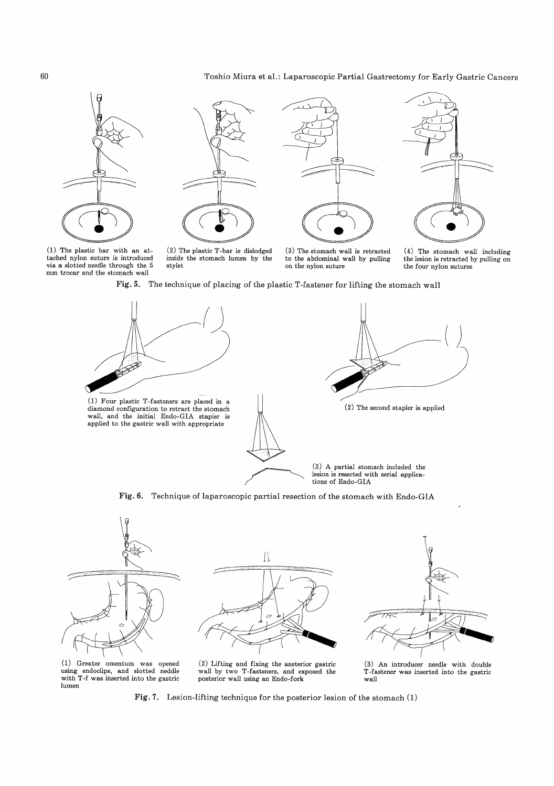# Toshio Miura et al.: Laparoscopic Partial Gastrectomy for Early Gastric Cancers



(1) The plastic bar with an attached nylon suture is introduced via a slotted needle through the 5 mm trocar and the stomach wall



(2) The plastic T-bar is dislodged inside the stomach lumen by the stylet



(3) The stomach wall is retracted to the abdominal wall by pulling on the nylon suture





Fig. 5. The technique of placing of the plastic T-fastener for lifting the stomach wall



Fig. 6. Technique of laparoscopic partial resection of the stomach with Endo-GIA







(1) Greater omentum was opened using endoclips, and slotted neddle with T-f was inserted into the gastric lumen

 $\sim$ 

(2) Lifting and fixing the aneterior gastric wall by two T-fasteners, and exposed the posterior wall using an Endo-fork

(3) An introducer needle with double T-fastener was inserted into the gastric wall

Fig. 7. Lesion-lifting technique for the posterior lesion of the stomach (1)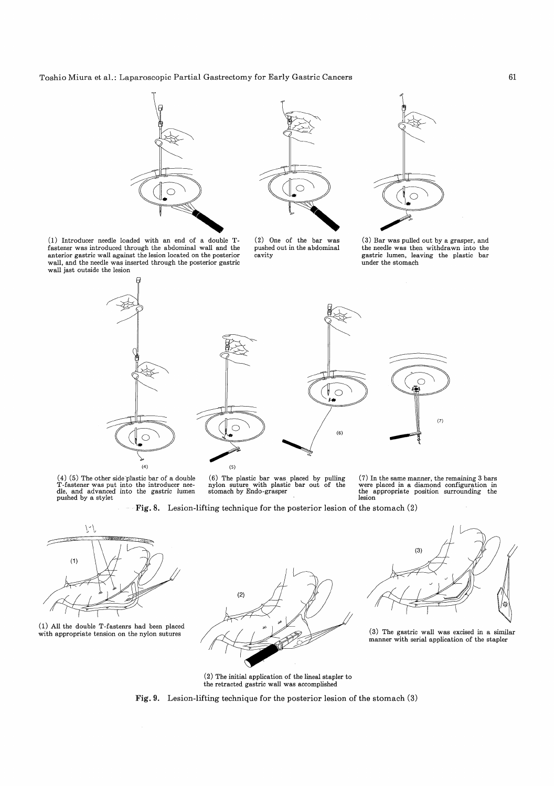Toshio Miura et al.: Laparoscopic Partial Gastrectomy for Early Gastric Cancers





(2) One of the bar was pushed out in the abdominal cavity



(3) Bar was pulled out by a grasper, and the needle was then withdrawn into the gastric lumen, leaving the plastic bar under the stomach





(4) (5) The other side plastic bar of a double T-fastener was put into the introducer nee-dle, and advanced into the gastric lumen pushed by a stylet

(6) The plastic bar was placed by pulling nylon suture with plastic bar out of the stomach by Endo-grasper

(7) In the same manner, the remaining 3 bars were placed in a diamond configuration in the appropriate position surrounding the lesion

 $(7)$ 

Fig. 8. Lesion-lifting technique for the posterior lesion of the stomach (2)



(1) All the double T-fastenrs had been placed





manner with serial application of the stapler

(2) The initial application of the lineal stapler to the retracted gastric wall was accomplished

Fig. 9. Lesion-lifting technique for the posterior lesion of the stomach (3)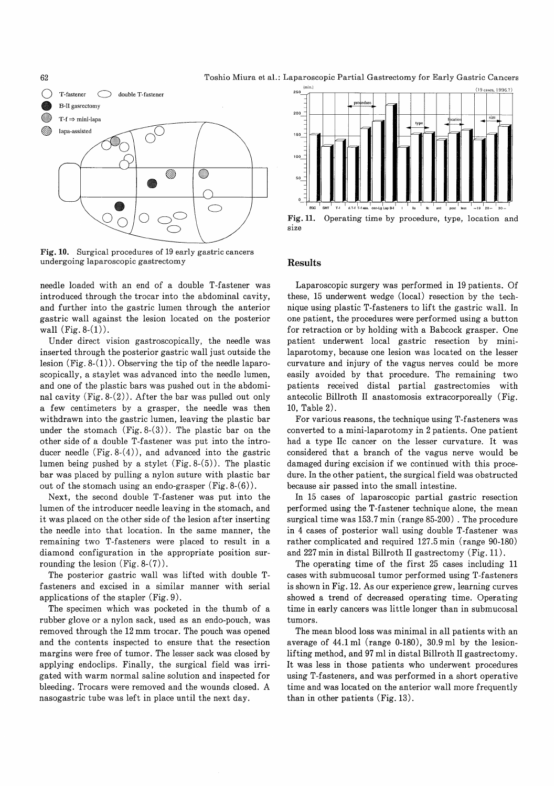

Fig. 10. Surgical procedures of 19 early gastric cancers undergoing laparoscopic gastrectomy

needle loaded with an end of a double T-fastener was introduced through the trocar into the abdominal cavity, and further into the gastric lumen through the anterior gastric wall against the lesion located on the posterior wall  $(Fig. 8-(1))$ .

Under direct vision gastroscopically, the needle was inserted through the posterior gastric wall just outside the lesion  $(Fig. 8-(1))$ . Observing the tip of the needle laparoscopically, a staylet was advanced into the needle lumen, and one of the plastic bars was pushed out in the abdominal cavity (Fig. 8-(2)). After the bar was pulled out only a few centimeters by a grasper, the needle was then withdrawn into the gastric lumen, leaving the plastic bar under the stomach  $(Fig. 8-(3))$ . The plastic bar on the other side of a double T-fastener was put into the introducer needle  $(Fig. 8-(4))$ , and advanced into the gastric lumen being pushed by a stylet  $(Fig. 8-(5))$ . The plastic bar was placed by pulling a nylon suture with plastic bar out of the stomach using an endo-grasper (Fig. 8-(6)).

Next, the second double T-fastener was put into the lumen of the introducer needle leaving in the stomach, and it was placed on the other side of the lesion after inserting the needle into that location. In the same manner, the remaining two T-fasteners were placed to result in a diamond configuration in the appropriate position surrounding the lesion  $(Fig. 8-(7))$ .

The posterior gastric wall was lifted with double Tfasteners and excised in a similar manner with serial applications of the stapler (Fig. 9).

The specimen which was pocketed in the thumb of a rubber glove or a nylon sack, used as an endo-pouch, was removed through the 12 mm trocar. The pouch was opened and the contents inspected to ensure that the resection margins were free of tumor. The lesser sack was closed by applying endoclips. Finally, the surgical field was irrigated with warm normal saline solution and inspected for bleeding. Trocars were removed and the wounds closed. A nasogastric tube was left in place until the next day.



Fig. 11. Operating time by procedure, type, location and size

## Results

Laparoscopic surgery was performed in 19 patients. Of these, 15 underwent wedge (local) resection by the technique using plastic T-fasteners to lift the gastric wall. In one patient, the procedures were performed using a button for retraction or by holding with a Babcock grasper. One patient underwent local gastric resection by minilaparotomy, because one lesion was located on the lesser curvature and injury of the vagus nerves could be more easily avoided by that procedure. The remaining two patients received distal partial gastrectomies with antecolic Billroth II anastomosis extracorporeally (Fig. 10, Table 2).

For various reasons, the technique using T-fasteners was converted to a mini-laparotomy in 2 patients. One patient had a type IIc cancer on the lesser curvature. It was considered that a branch of the vagus nerve would be damaged during excision if we continued with this procedure. In the other patient, the surgical field was obstructed because air passed into the small intestine.

In 15 cases of laparoscopic partial gastric resection performed using the T-fastener technique alone, the mean surgical time was 153.7 min (range 85-200) . The procedure in 4 cases of posterior wall using double T-fastener was rather complicated and required 127.5 min (range 90-180) and 227 min in distal Billroth II gastrectomy (Fig. 11).

The operating time of the first 25 cases including 11 cases with submucosal tumor performed using T-fasteners is shown in Fig. 12. As our experience grew, learning curves showed a trend of decreased operating time. Operating time in early cancers was little longer than in submucosal tumors.

The mean blood loss was minimal in all patients with an average of  $44.1$  ml (range 0-180),  $30.9$  ml by the lesionlifting method, and 97 ml in distal Billroth II gastrectomy. It was less in those patients who underwent procedures using T-fasteners, and was performed in a short operative time and was located on the anterior wall more frequently than in other patients (Fig. 13).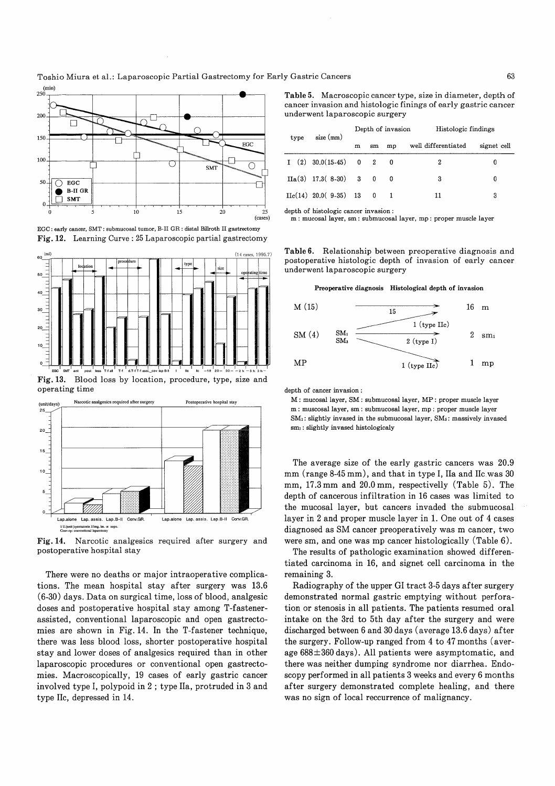





operating time depth of cancer invasion : Narcotic analgesics required after surgery Postoperative hospital stay (unit/day:



Fig. 14. Narcotic analgesics required after surgery and postoperative hospital stay

There were no deaths or major intraoperative complications. The mean hospital stay after surgery was 13.6 (6-30) days. Data on surgical time, loss of blood, analgesic doses and postoperative hospital stay among T-fastenerassisted, conventional laparoscopic and open gastrectomies are shown in Fig. 14. In the T-fastener technique, there was less blood loss, shorter postoperative hospital stay and lower doses of analgesics required than in other laparoscopic procedures or conventional open gastrectomies. Macroscopically, 19 cases of early gastric cancer involved type I, polypoid in 2 ; type IIa, protruded in 3 and type IIc, depressed in 14.

Table 5. Macroscopic cancer type, size in diameter, depth of cancer invasion and histologic finings of early gastric cancer underwent laparoscopic surgery

|  | size (mm) |   |    |                                                                                       |                     | Histologic findings |  |  |
|--|-----------|---|----|---------------------------------------------------------------------------------------|---------------------|---------------------|--|--|
|  |           | m | sm | mp                                                                                    | well differentiated | signet cell         |  |  |
|  |           |   |    |                                                                                       |                     |                     |  |  |
|  |           |   |    | - 0                                                                                   | 3                   |                     |  |  |
|  |           |   |    |                                                                                       | 11                  | 3                   |  |  |
|  | type      |   |    | $I(2)$ 30.0(15-45) 0 2<br>$IIa(3)$ 17.3(8-30) 3 0<br>$\text{IIc}(14)$ 20.0(9-35) 13 0 |                     | Depth of invasion   |  |  |

depth of histologic cancer invasion :

m : mucosal layer, sm : submucosal layer, mp : proper muscle layer

Table 6. Relationship between preoperative diagnosis and postoperative histologic depth of invasion of early cancer underwent laparoscopic surgery

Preoperative diagnosis Histological depth of invasion



M : mucosal layer, SM : submucosal layer, MP : proper muscle layer m : muscosal layer, sm : submucosal layer, mp : proper muscle layer SM<sub>1</sub>: slightly invased in the submucosal layer, SM<sub>3</sub>: massively invased smi: slightly invased histologicaly

The average size of the early gastric cancers was 20.9 mm (range 8-45 mm), and that in type I, IIa and IIc was 30 mm, 17.3 mm and 20.0 mm, respectivelly (Table 5). The depth of cancerous infiltration in 16 cases was limited to the mucosal layer, but cancers invaded the submucosal layer in 2 and proper muscle layer in 1. One out of 4 cases diagnosed as SM cancer preoperatively was m cancer, two were sm, and one was mp cancer histologically (Table 6).

The results of pathologic examination showed differentiated carcinoma in 16, and signet cell carcinoma in the remaining 3.

Radiography of the upper GI tract 3-5 days after surgery demonstrated normal gastric emptying without perforation or stenosis in all patients. The patients resumed oral intake on the 3rd to 5th day after the surgery and were discharged between 6 and 30 days (average 13.6 days) after the surgery. Follow-up ranged from 4 to 47 months (average  $688 \pm 360$  days). All patients were asymptomatic, and there was neither dumping syndrome nor diarrhea. Endoscopy performed in all patients 3 weeks and every 6 months after surgery demonstrated complete healing, and there was no sign of local reccurrence of malignancy.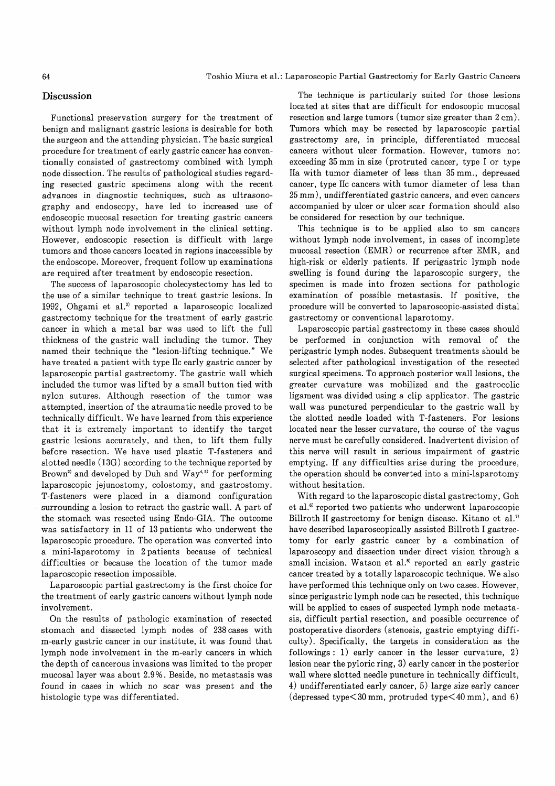## Discussion

 Functional preservation surgery for the treatment of benign and malignant gastric lesions is desirable for both the surgeon and the attending physician. The basic surgical procedure for treatment of early gastric cancer has conventionally consisted of gastrectomy combined with lymph node dissection. The results of pathological studies regarding resected gastric specimens along with the recent advances in diagnostic techniques, such as ultrasonography and endoscopy, have led to increased use of endoscopic mucosal resection for treating gastric cancers without lymph node involvement in the clinical setting. However, endoscopic resection is difficult with large tumors and those cancers located in regions inaccessible by the endoscope. Moreover, frequent follow up examinations are required after treatment by endoscopic resection.

The success of laparoscopic cholecystectomy has led to the use of a similar technique to treat gastric lesions. In 1992, Ohgami et al.') reported a laparoscopic localized gastrectomy technique for the treatment of early gastric cancer in which a metal bar was used to lift the full thickness of the gastric wall including the tumor. They named their technique the "lesion-lifting technique." We have treated a patient with type IIc early gastric cancer by laparoscopic partial gastrectomy. The gastric wall which included the tumor was lifted by a small button tied with nylon sutures. Although resection of the tumor was attempted, insertion of the atraumatic needle proved to be technically difficult. We have learned from this experience that it is extremely important to identify the target gastric lesions accurately, and then, to lift them fully before resection. We have used plastic T-fasteners and slotted needle (13G) according to the technique reported by Brown<sup>2)</sup> and developed by Duh and Way<sup>4,5)</sup> for performing laparoscopic jejunostomy, colostomy, and gastrostomy. T-fasteners were placed in a diamond configuration surrounding a lesion to retract the gastric wall. A part of the stomach was resected using Endo-GIA. The outcome was satisfactory in 11 of 13 patients who underwent the laparoscopic procedure. The operation was converted into a mini-laparotomy in 2 patients because of technical difficulties or because the location of the tumor made laparoscopic resection impossible.

Laparoscopic partial gastrectomy is the first choice for the treatment of early gastric cancers without lymph node involvement.

On the results of pathologic examination of resected stomach and dissected lymph nodes of 238 cases with m-early gastric cancer in our institute, it was found that lymph node involvement in the m-early cancers in which the depth of cancerous invasions was limited to the proper mucosal layer was about 2.9%. Beside, no metastasis was found in cases in which no scar was present and the histologic type was differentiated.

The technique is particularly suited for those lesions located at sites that are difficult for endoscopic mucosal resection and large tumors (tumor size greater than 2 cm). Tumors which may be resected by laparoscopic partial gastrectomy are, in principle, differentiated mucosal cancers without ulcer formation. However, tumors not exceeding 35 mm in size (protruted cancer, type I or type IIa with tumor diameter of less than 35 mm., depressed cancer, type IIc cancers with tumor diameter of less than 25 mm), undifferentiated gastric cancers, and even cancers accompanied by ulcer or ulcer scar formation should also be considered for resection by our technique.

This technique is to be applied also to sm cancers without lymph node involvement, in cases of incomplete mucosal resection (EMR) or recurrence after EMR, and high-risk or elderly patients. If perigastric lymph node swelling is found during the laparoscopic surgery, the specimen is made into frozen sections for pathologic examination of possible metastasis. If positive, the procedure will be converted to laparoscopic-assisted distal gastrectomy or conventional laparotomy.

Laparoscopic partial gastrectomy in these cases should be performed in conjunction with removal of the perigastric lymph nodes. Subsequent treatments should be selected after pathological investigation of the resected surgical specimens. To approach posterior wall lesions, the greater curvature was mobilized and the gastrocolic ligament was divided using a clip applicator. The gastric wall was punctured perpendicular to the gastric wall by the slotted needle loaded with T-fasteners. For lesions located near the lesser curvature, the course of the vagus nerve must be carefully considered. Inadvertent division of this nerve will result in serious impairment of gastric emptying. If any difficulties arise during the procedure, the operation should be converted into a mini-laparotomy without hesitation.

With regard to the laparoscopic distal gastrectomy, Goh et al.<sup>6</sup> reported two patients who underwent laparoscopic Billroth II gastrectomy for benign disease. Kitano et al.') have described laparoscopically assisted Billroth I gastrectomy for early gastric cancer by a combination of laparoscopy and dissection under direct vision through a small incision. Watson et al.<sup>8</sup> reported an early gastric cancer treated by a totally laparoscopic technique. We also have performed this technique only on two cases. However, since perigastric lymph node can be resected, this technique will be applied to cases of suspected lymph node metastasis, difficult partial resection, and possible occurrence of postoperative disorders (stenosis, gastric emptying difficulty). Specifically, the targets in consideration as the followings : 1) early cancer in the lesser curvature, 2) lesion near the pyloric ring, 3) early cancer in the posterior wall where slotted needle puncture in technically difficult, 4) undifferentiated early cancer, 5) large size early cancer (depressed type $<30$  mm, protruded type $<40$  mm), and 6)